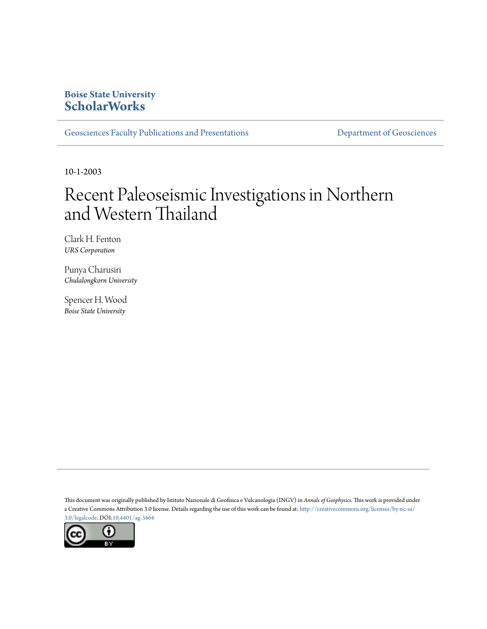# **Boise State University [ScholarWorks](https://scholarworks.boisestate.edu)**

[Geosciences Faculty Publications and Presentations](https://scholarworks.boisestate.edu/geo_facpubs) **Exercise Secure 2018** [Department of Geosciences](https://scholarworks.boisestate.edu/geosciences)

10-1-2003

# Recent Paleoseismic Investigations in Northern and Western Thailand

Clark H. Fenton *URS Corporation*

Punya Charusiri *Chulalongkorn University*

Spencer H. Wood *Boise State University*

This document was originally published by Istituto Nazionale di Geofisica e Vulcanologia (INGV) in *Annals of Geophysics*. This work is provided under a Creative Commons Attribution 3.0 license. Details regarding the use of this work can be found at: [http://creativecommons.org/licenses/by-nc-sa/](http://creativecommons.org/licenses/by/3.0/legalcode) [3.0/legalcode](http://creativecommons.org/licenses/by/3.0/legalcode). DOI:[10.4401/ag-3464](http://dx.doi.org/10.4401/ag-3464)

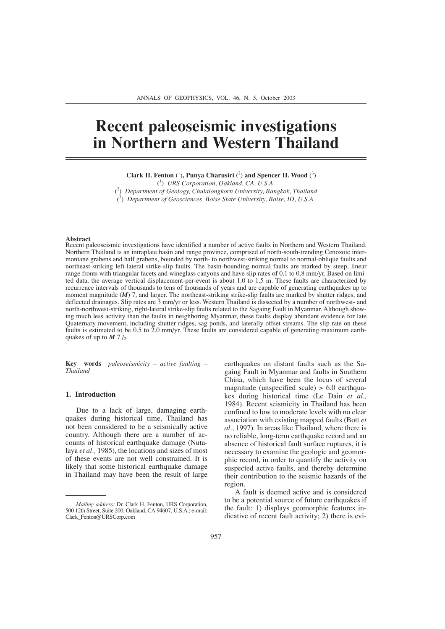# **Recent paleoseismic investigations in Northern and Western Thailand**

Clark H. Fenton (<sup>1</sup>), Punya Charusiri (<sup>2</sup>) and Spencer H. Wood (<sup>3</sup>)

( 1 ) *URS Corporation, Oakland, CA, U.S.A.* ( 2 ) *Department of Geology, Chulalongkorn University, Bangkok, Thailand* ( 3 ) *Department of Geosciences, Boise State University, Boise, ID, U.S.A.*

#### **Abstract**

Recent paleoseismic investigations have identified a number of active faults in Northern and Western Thailand. Northern Thailand is an intraplate basin and range province, comprised of north-south-trending Cenozoic intermontane grabens and half grabens, bounded by north- to northwest-striking normal to normal-oblique faults and northeast-striking left-lateral strike-slip faults. The basin-bounding normal faults are marked by steep, linear range fronts with triangular facets and wineglass canyons and have slip rates of 0.1 to 0.8 mm/yr. Based on limited data, the average vertical displacement-per-event is about 1.0 to 1.5 m. These faults are characterized by recurrence intervals of thousands to tens of thousands of years and are capable of generating earthquakes up to moment magnitude (*M*) 7, and larger. The northeast-striking strike-slip faults are marked by shutter ridges, and deflected drainages. Slip rates are 3 mm/yr or less. Western Thailand is dissected by a number of northwest- and north-northwest-striking, right-lateral strike-slip faults related to the Sagaing Fault in Myanmar. Although showing much less activity than the faults in neighboring Myanmar, these faults display abundant evidence for late Quaternary movement, including shutter ridges, sag ponds, and laterally offset streams. The slip rate on these faults is estimated to be 0.5 to 2.0 mm/yr. These faults are considered capable of generating maximum earthquakes of up to  $M 7\frac{1}{2}$ .

**Key words** *paleoseismicity – active faulting – Thailand*

#### **1. Introduction**

Due to a lack of large, damaging earthquakes during historical time, Thailand has not been considered to be a seismically active country. Although there are a number of accounts of historical earthquake damage (Nutalaya *et al.,* 1985), the locations and sizes of most of these events are not well constrained. It is likely that some historical earthquake damage in Thailand may have been the result of large earthquakes on distant faults such as the Sagaing Fault in Myanmar and faults in Southern China, which have been the locus of several magnitude (unspecified scale) > 6.0 earthquakes during historical time (Le Dain *et al.,* 1984). Recent seismicity in Thailand has been confined to low to moderate levels with no clear association with existing mapped faults (Bott *et al.,* 1997). In areas like Thailand, where there is no reliable, long-term earthquake record and an absence of historical fault surface ruptures, it is necessary to examine the geologic and geomorphic record, in order to quantify the activity on suspected active faults, and thereby determine their contribution to the seismic hazards of the region.

A fault is deemed active and is considered to be a potential source of future earthquakes if the fault: 1) displays geomorphic features indicative of recent fault activity; 2) there is evi-

*Mailing address:* Dr. Clark H. Fenton, URS Corporation, 500 12th Street, Suite 200, Oakland, CA 94607, U.S.A.; e-mail: Clark\_Fenton@URSCorp.com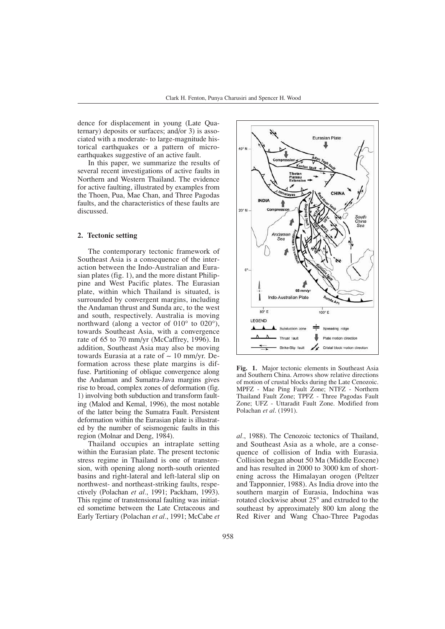dence for displacement in young (Late Quaternary) deposits or surfaces; and/or 3) is associated with a moderate- to large-magnitude historical earthquakes or a pattern of microearthquakes suggestive of an active fault.

In this paper, we summarize the results of several recent investigations of active faults in Northern and Western Thailand. The evidence for active faulting, illustrated by examples from the Thoen, Pua, Mae Chan, and Three Pagodas faults, and the characteristics of these faults are discussed.

# **2. Tectonic setting**

The contemporary tectonic framework of Southeast Asia is a consequence of the interaction between the Indo-Australian and Eurasian plates (fig. 1), and the more distant Philippine and West Pacific plates. The Eurasian plate, within which Thailand is situated, is surrounded by convergent margins, including the Andaman thrust and Sunda arc, to the west and south, respectively. Australia is moving northward (along a vector of 010° to 020°), towards Southeast Asia, with a convergence rate of 65 to 70 mm/yr (McCaffrey, 1996). In addition, Southeast Asia may also be moving towards Eurasia at a rate of  $\sim 10$  mm/yr. Deformation across these plate margins is diffuse. Partitioning of oblique convergence along the Andaman and Sumatra-Java margins gives rise to broad, complex zones of deformation (fig. 1) involving both subduction and transform faulting (Malod and Kemal, 1996), the most notable of the latter being the Sumatra Fault. Persistent deformation within the Eurasian plate is illustrated by the number of seismogenic faults in this region (Molnar and Deng, 1984).

Thailand occupies an intraplate setting within the Eurasian plate. The present tectonic stress regime in Thailand is one of transtension, with opening along north-south oriented basins and right-lateral and left-lateral slip on northwest- and northeast-striking faults, respectively (Polachan *et al.*, 1991; Packham, 1993). This regime of transtensional faulting was initiated sometime between the Late Cretaceous and Early Tertiary (Polachan *et al.*, 1991; McCabe *et*



**Fig. 1.** Major tectonic elements in Southeast Asia and Southern China. Arrows show relative directions of motion of crustal blocks during the Late Cenozoic. MPFZ - Mae Ping Fault Zone; NTFZ - Northern Thailand Fault Zone; TPFZ - Three Pagodas Fault Zone; UFZ - Uttaradit Fault Zone. Modified from Polachan *et al*. (1991).

*al.*, 1988). The Cenozoic tectonics of Thailand, and Southeast Asia as a whole, are a consequence of collision of India with Eurasia. Collision began about 50 Ma (Middle Eocene) and has resulted in 2000 to 3000 km of shortening across the Himalayan orogen (Peltzer and Tapponnier, 1988). As India drove into the southern margin of Eurasia, Indochina was rotated clockwise about 25° and extruded to the southeast by approximately 800 km along the Red River and Wang Chao-Three Pagodas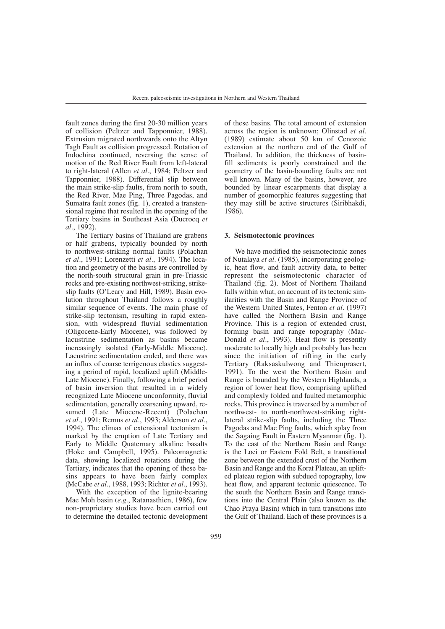fault zones during the first 20-30 million years of collision (Peltzer and Tapponnier, 1988). Extrusion migrated northwards onto the Altyn Tagh Fault as collision progressed. Rotation of Indochina continued, reversing the sense of motion of the Red River Fault from left-lateral to right-lateral (Allen *et al.*, 1984; Peltzer and Tapponnier, 1988). Differential slip between the main strike-slip faults, from north to south, the Red River, Mae Ping, Three Pagodas, and Sumatra fault zones (fig. 1), created a transtensional regime that resulted in the opening of the Tertiary basins in Southeast Asia (Ducrocq *et al.*, 1992).

The Tertiary basins of Thailand are grabens or half grabens, typically bounded by north to northwest-striking normal faults (Polachan *et al.*, 1991; Lorenzetti *et al.*, 1994). The location and geometry of the basins are controlled by the north-south structural grain in pre-Triassic rocks and pre-existing northwest-striking, strikeslip faults (O'Leary and Hill, 1989). Basin evolution throughout Thailand follows a roughly similar sequence of events. The main phase of strike-slip tectonism, resulting in rapid extension, with widespread fluvial sedimentation (Oligocene-Early Miocene), was followed by lacustrine sedimentation as basins became increasingly isolated (Early-Middle Miocene). Lacustrine sedimentation ended, and there was an influx of coarse terrigenous clastics suggesting a period of rapid, localized uplift (Middle-Late Miocene). Finally, following a brief period of basin inversion that resulted in a widely recognized Late Miocene unconformity, fluvial sedimentation, generally coarsening upward, resumed (Late Miocene-Recent) (Polachan *et al.*, 1991; Remus *et al.*, 1993; Alderson *et al.*, 1994). The climax of extensional tectonism is marked by the eruption of Late Tertiary and Early to Middle Quaternary alkaline basalts (Hoke and Campbell, 1995). Paleomagnetic data, showing localized rotations during the Tertiary, indicates that the opening of these basins appears to have been fairly complex (McCabe *et al.*, 1988, 1993; Richter *et al.*, 1993).

With the exception of the lignite-bearing Mae Moh basin (*e.g.*, Ratanasthien, 1986), few non-proprietary studies have been carried out to determine the detailed tectonic development of these basins. The total amount of extension across the region is unknown; Olinstad *et al.* (1989) estimate about 50 km of Cenozoic extension at the northern end of the Gulf of Thailand. In addition, the thickness of basinfill sediments is poorly constrained and the geometry of the basin-bounding faults are not well known. Many of the basins, however, are bounded by linear escarpments that display a number of geomorphic features suggesting that they may still be active structures (Siribhakdi, 1986).

#### **3. Seismotectonic provinces**

We have modified the seismotectonic zones of Nutalaya *et al.* (1985), incorporating geologic, heat flow, and fault activity data, to better represent the seismotectonic character of Thailand (fig. 2). Most of Northern Thailand falls within what, on account of its tectonic similarities with the Basin and Range Province of the Western United States, Fenton *et al.* (1997) have called the Northern Basin and Range Province. This is a region of extended crust, forming basin and range topography (Mac-Donald *et al.*, 1993). Heat flow is presently moderate to locally high and probably has been since the initiation of rifting in the early Tertiary (Raksaskulwong and Thienprasert, 1991). To the west the Northern Basin and Range is bounded by the Western Highlands, a region of lower heat flow, comprising uplifted and complexly folded and faulted metamorphic rocks. This province is traversed by a number of northwest- to north-northwest-striking rightlateral strike-slip faults, including the Three Pagodas and Mae Ping faults, which splay from the Sagaing Fault in Eastern Myanmar (fig. 1). To the east of the Northern Basin and Range is the Loei or Eastern Fold Belt, a transitional zone between the extended crust of the Northern Basin and Range and the Korat Plateau, an uplifted plateau region with subdued topography, low heat flow, and apparent tectonic quiescence. To the south the Northern Basin and Range transitions into the Central Plain (also known as the Chao Praya Basin) which in turn transitions into the Gulf of Thailand. Each of these provinces is a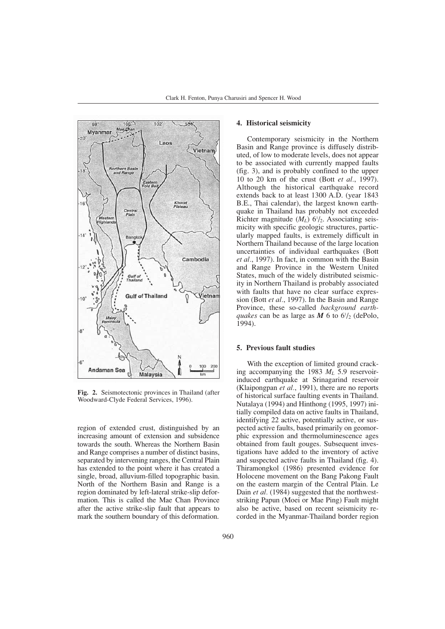

**Fig. 2.** Seismotectonic provinces in Thailand (after Woodward-Clyde Federal Services, 1996).

region of extended crust, distinguished by an increasing amount of extension and subsidence towards the south. Whereas the Northern Basin and Range comprises a number of distinct basins, separated by intervening ranges, the Central Plain has extended to the point where it has created a single, broad, alluvium-filled topographic basin. North of the Northern Basin and Range is a region dominated by left-lateral strike-slip deformation. This is called the Mae Chan Province after the active strike-slip fault that appears to mark the southern boundary of this deformation.

### **4. Historical seismicity**

Contemporary seismicity in the Northern Basin and Range province is diffusely distributed, of low to moderate levels, does not appear to be associated with currently mapped faults (fig. 3), and is probably confined to the upper 10 to 20 km of the crust (Bott *et al.*, 1997). Although the historical earthquake record extends back to at least 1300 A.D. (year 1843 B.E., Thai calendar), the largest known earthquake in Thailand has probably not exceeded Richter magnitude  $(M_L)$   $6\frac{1}{2}$ . Associating seismicity with specific geologic structures, particularly mapped faults, is extremely difficult in Northern Thailand because of the large location uncertainties of individual earthquakes (Bott *et al.*, 1997). In fact, in common with the Basin and Range Province in the Western United States, much of the widely distributed seismicity in Northern Thailand is probably associated with faults that have no clear surface expression (Bott *et al.*, 1997). In the Basin and Range Province, these so-called *background earthquakes* can be as large as  $M$  6 to  $6\frac{1}{2}$  (dePolo,  $1994$ ).

#### **5. Previous fault studies**

With the exception of limited ground cracking accompanying the 1983 *ML* 5.9 reservoirinduced earthquake at Srinagarind reservoir (Klaipongpan *et al.*, 1991), there are no reports of historical surface faulting events in Thailand. Nutalaya (1994) and Hinthong (1995, 1997) initially compiled data on active faults in Thailand, identifying 22 active, potentially active, or suspected active faults, based primarily on geomorphic expression and thermoluminescence ages obtained from fault gouges. Subsequent investigations have added to the inventory of active and suspected active faults in Thailand (fig. 4). Thiramongkol (1986) presented evidence for Holocene movement on the Bang Pakong Fault on the eastern margin of the Central Plain. Le Dain *et al.* (1984) suggested that the northweststriking Papun (Moei or Mae Ping) Fault might also be active, based on recent seismicity recorded in the Myanmar-Thailand border region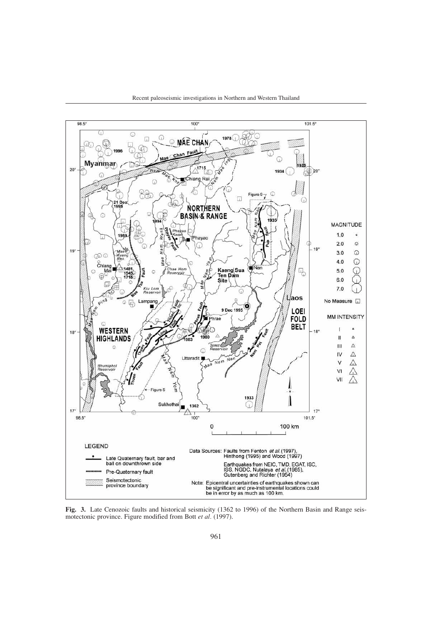



**Fig. 3.** Late Cenozoic faults and historical seismicity (1362 to 1996) of the Northern Basin and Range seismotectonic province. Figure modified from Bott *et al.* (1997).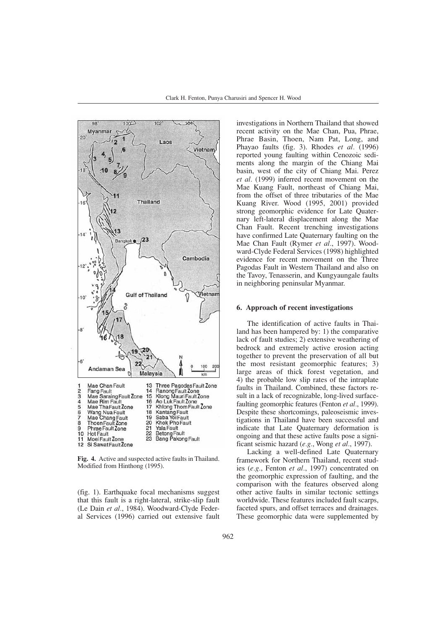

**Fig. 4.** Active and suspected active faults in Thailand. Modified from Hinthong (1995).

(fig. 1). Earthquake focal mechanisms suggest that this fault is a right-lateral, strike-slip fault (Le Dain *et al.*, 1984). Woodward-Clyde Federal Services (1996) carried out extensive fault investigations in Northern Thailand that showed recent activity on the Mae Chan, Pua, Phrae, Phrae Basin, Thoen, Nam Pat, Long, and Phayao faults (fig. 3). Rhodes *et al.* (1996) reported young faulting within Cenozoic sediments along the margin of the Chiang Mai basin, west of the city of Chiang Mai. Perez *et al.* (1999) inferred recent movement on the Mae Kuang Fault, northeast of Chiang Mai, from the offset of three tributaries of the Mae Kuang River. Wood (1995, 2001) provided strong geomorphic evidence for Late Quaternary left-lateral displacement along the Mae Chan Fault. Recent trenching investigations have confirmed Late Quaternary faulting on the Mae Chan Fault (Rymer *et al.*, 1997). Woodward-Clyde Federal Services (1998) highlighted evidence for recent movement on the Three Pagodas Fault in Western Thailand and also on the Tavoy, Tenasserin, and Kungyaungale faults in neighboring peninsular Myanmar.

#### **6. Approach of recent investigations**

The identification of active faults in Thailand has been hampered by: 1) the comparative lack of fault studies; 2) extensive weathering of bedrock and extremely active erosion acting together to prevent the preservation of all but the most resistant geomorphic features; 3) large areas of thick forest vegetation, and 4) the probable low slip rates of the intraplate faults in Thailand. Combined, these factors result in a lack of recognizable, long-lived surfacefaulting geomorphic features (Fenton *et al.*, 1999). Despite these shortcomings, paleoseismic investigations in Thailand have been successful and indicate that Late Quaternary deformation is ongoing and that these active faults pose a significant seismic hazard (*e.g.*, Wong *et al.*, 1997).

Lacking a well-defined Late Quaternary framework for Northern Thailand, recent studies (*e.g.*, Fenton *et al.*, 1997) concentrated on the geomorphic expression of faulting, and the comparison with the features observed along other active faults in similar tectonic settings worldwide. These features included fault scarps, faceted spurs, and offset terraces and drainages. These geomorphic data were supplemented by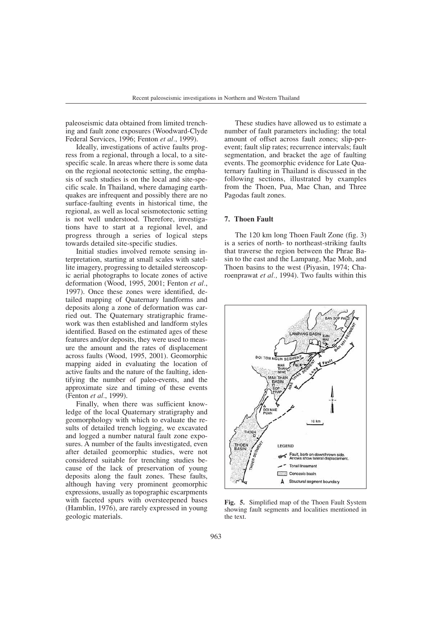paleoseismic data obtained from limited trenching and fault zone exposures (Woodward-Clyde Federal Services, 1996; Fenton *et al.*, 1999).

Ideally, investigations of active faults progress from a regional, through a local, to a sitespecific scale. In areas where there is some data on the regional neotectonic setting, the emphasis of such studies is on the local and site-specific scale. In Thailand, where damaging earthquakes are infrequent and possibly there are no surface-faulting events in historical time, the regional, as well as local seismotectonic setting is not well understood. Therefore, investigations have to start at a regional level, and progress through a series of logical steps towards detailed site-specific studies.

Initial studies involved remote sensing interpretation, starting at small scales with satellite imagery, progressing to detailed stereoscopic aerial photographs to locate zones of active deformation (Wood, 1995, 2001; Fenton *et al.*, 1997). Once these zones were identified, detailed mapping of Quaternary landforms and deposits along a zone of deformation was carried out. The Quaternary stratigraphic framework was then established and landform styles identified. Based on the estimated ages of these features and/or deposits, they were used to measure the amount and the rates of displacement across faults (Wood, 1995, 2001). Geomorphic mapping aided in evaluating the location of active faults and the nature of the faulting, identifying the number of paleo-events, and the approximate size and timing of these events (Fenton *et al.*, 1999).

Finally, when there was sufficient knowledge of the local Quaternary stratigraphy and geomorphology with which to evaluate the results of detailed trench logging, we excavated and logged a number natural fault zone exposures. A number of the faults investigated, even after detailed geomorphic studies, were not considered suitable for trenching studies because of the lack of preservation of young deposits along the fault zones. These faults, although having very prominent geomorphic expressions, usually as topographic escarpments with faceted spurs with oversteepened bases (Hamblin, 1976), are rarely expressed in young geologic materials.

These studies have allowed us to estimate a number of fault parameters including: the total amount of offset across fault zones; slip-perevent; fault slip rates; recurrence intervals; fault segmentation, and bracket the age of faulting events. The geomorphic evidence for Late Quaternary faulting in Thailand is discussed in the following sections, illustrated by examples from the Thoen, Pua, Mae Chan, and Three Pagodas fault zones.

# **7. Thoen Fault**

The 120 km long Thoen Fault Zone (fig. 3) is a series of north- to northeast-striking faults that traverse the region between the Phrae Basin to the east and the Lampang, Mae Moh, and Thoen basins to the west (Piyasin, 1974; Charoenprawat *et al.,* 1994). Two faults within this



**Fig. 5.** Simplified map of the Thoen Fault System showing fault segments and localities mentioned in the text.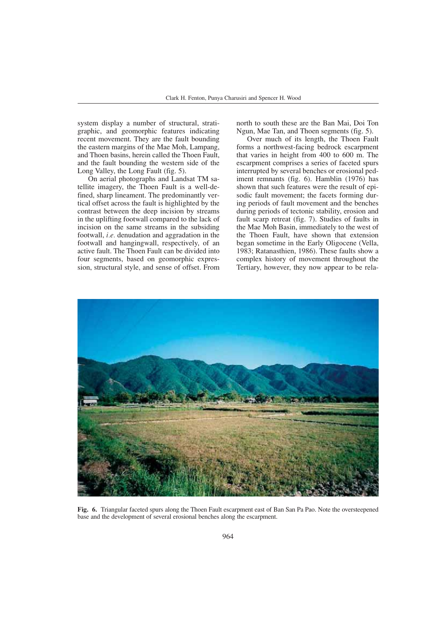system display a number of structural, stratigraphic, and geomorphic features indicating recent movement. They are the fault bounding the eastern margins of the Mae Moh, Lampang, and Thoen basins, herein called the Thoen Fault, and the fault bounding the western side of the Long Valley, the Long Fault (fig. 5).

On aerial photographs and Landsat TM satellite imagery, the Thoen Fault is a well-defined, sharp lineament. The predominantly vertical offset across the fault is highlighted by the contrast between the deep incision by streams in the uplifting footwall compared to the lack of incision on the same streams in the subsiding footwall, *i.e.* denudation and aggradation in the footwall and hangingwall, respectively, of an active fault. The Thoen Fault can be divided into four segments, based on geomorphic expression, structural style, and sense of offset. From

north to south these are the Ban Mai, Doi Ton Ngun, Mae Tan, and Thoen segments (fig. 5).

Over much of its length, the Thoen Fault forms a northwest-facing bedrock escarpment that varies in height from 400 to 600 m. The escarpment comprises a series of faceted spurs interrupted by several benches or erosional pediment remnants (fig. 6). Hamblin (1976) has shown that such features were the result of episodic fault movement; the facets forming during periods of fault movement and the benches during periods of tectonic stability, erosion and fault scarp retreat (fig. 7). Studies of faults in the Mae Moh Basin, immediately to the west of the Thoen Fault, have shown that extension began sometime in the Early Oligocene (Vella, 1983; Ratanasthien, 1986). These faults show a complex history of movement throughout the Tertiary, however, they now appear to be rela-



**Fig. 6.** Triangular faceted spurs along the Thoen Fault escarpment east of Ban San Pa Pao. Note the oversteepened base and the development of several erosional benches along the escarpment.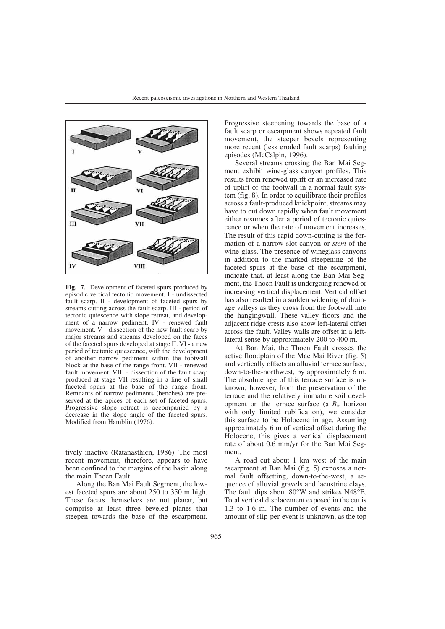

**Fig. 7.** Development of faceted spurs produced by episodic vertical tectonic movement. I - undissected fault scarp. II - development of faceted spurs by streams cutting across the fault scarp. III - period of tectonic quiescence with slope retreat, and development of a narrow pediment. IV - renewed fault movement. V - dissection of the new fault scarp by major streams and streams developed on the faces of the faceted spurs developed at stage II. VI - a new period of tectonic quiescence, with the development of another narrow pediment within the footwall block at the base of the range front. VII - renewed fault movement. VIII - dissection of the fault scarp produced at stage VII resulting in a line of small faceted spurs at the base of the range front. Remnants of narrow pediments (benches) are preserved at the apices of each set of faceted spurs. Progressive slope retreat is accompanied by a decrease in the slope angle of the faceted spurs. Modified from Hamblin (1976).

tively inactive (Ratanasthien, 1986). The most recent movement, therefore, appears to have been confined to the margins of the basin along the main Thoen Fault.

Along the Ban Mai Fault Segment, the lowest faceted spurs are about 250 to 350 m high. These facets themselves are not planar, but comprise at least three beveled planes that steepen towards the base of the escarpment. Progressive steepening towards the base of a fault scarp or escarpment shows repeated fault movement, the steeper bevels representing more recent (less eroded fault scarps) faulting episodes (McCalpin, 1996).

Several streams crossing the Ban Mai Segment exhibit wine-glass canyon profiles. This results from renewed uplift or an increased rate of uplift of the footwall in a normal fault system (fig. 8). In order to equilibrate their profiles across a fault-produced knickpoint, streams may have to cut down rapidly when fault movement either resumes after a period of tectonic quiescence or when the rate of movement increases. The result of this rapid down-cutting is the formation of a narrow slot canyon or *stem* of the wine-glass. The presence of wineglass canyons in addition to the marked steepening of the faceted spurs at the base of the escarpment, indicate that, at least along the Ban Mai Segment, the Thoen Fault is undergoing renewed or increasing vertical displacement. Vertical offset has also resulted in a sudden widening of drainage valleys as they cross from the footwall into the hangingwall. These valley floors and the adjacent ridge crests also show left-lateral offset across the fault. Valley walls are offset in a leftlateral sense by approximately 200 to 400 m.

At Ban Mai, the Thoen Fault crosses the active floodplain of the Mae Mai River (fig. 5) and vertically offsets an alluvial terrace surface, down-to-the-northwest, by approximately 6 m. The absolute age of this terrace surface is unknown; however, from the preservation of the terrace and the relatively immature soil development on the terrace surface (a  $B_w$  horizon with only limited rubification), we consider this surface to be Holocene in age. Assuming approximately 6 m of vertical offset during the Holocene, this gives a vertical displacement rate of about 0.6 mm/yr for the Ban Mai Segment.

A road cut about 1 km west of the main escarpment at Ban Mai (fig. 5) exposes a normal fault offsetting, down-to-the-west, a sequence of alluvial gravels and lacustrine clays. The fault dips about 80°W and strikes N48°E. Total vertical displacement exposed in the cut is 1.3 to 1.6 m. The number of events and the amount of slip-per-event is unknown, as the top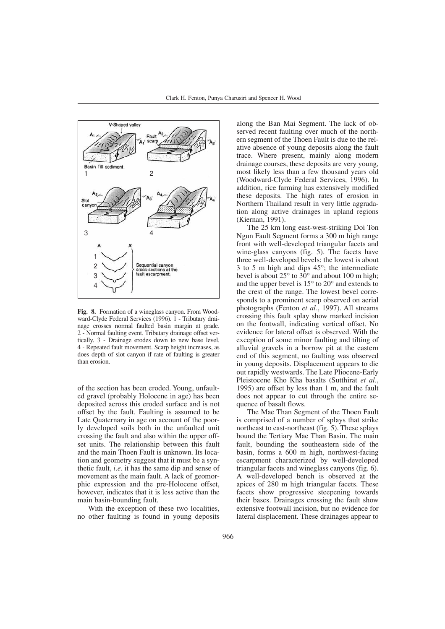

**Fig. 8.** Formation of a wineglass canyon. From Woodward-Clyde Federal Services (1996). 1 - Tributary drainage crosses normal faulted basin margin at grade. 2 - Normal faulting event. Tributary drainage offset vertically. 3 - Drainage erodes down to new base level. 4 - Repeated fault movement. Scarp height increases, as does depth of slot canyon if rate of faulting is greater than erosion.

of the section has been eroded. Young, unfaulted gravel (probably Holocene in age) has been deposited across this eroded surface and is not offset by the fault. Faulting is assumed to be Late Quaternary in age on account of the poorly developed soils both in the unfaulted unit crossing the fault and also within the upper offset units. The relationship between this fault and the main Thoen Fault is unknown. Its location and geometry suggest that it must be a synthetic fault, *i.e.* it has the same dip and sense of movement as the main fault. A lack of geomorphic expression and the pre-Holocene offset, however, indicates that it is less active than the main basin-bounding fault.

With the exception of these two localities, no other faulting is found in young deposits along the Ban Mai Segment. The lack of observed recent faulting over much of the northern segment of the Thoen Fault is due to the relative absence of young deposits along the fault trace. Where present, mainly along modern drainage courses, these deposits are very young, most likely less than a few thousand years old (Woodward-Clyde Federal Services, 1996). In addition, rice farming has extensively modified these deposits. The high rates of erosion in Northern Thailand result in very little aggradation along active drainages in upland regions (Kiernan, 1991).

The 25 km long east-west-striking Doi Ton Ngun Fault Segment forms a 300 m high range front with well-developed triangular facets and wine-glass canyons (fig. 5). The facets have three well-developed bevels: the lowest is about 3 to 5 m high and dips 45°; the intermediate bevel is about  $25^{\circ}$  to  $30^{\circ}$  and about 100 m high; and the upper bevel is 15° to 20° and extends to the crest of the range. The lowest bevel corresponds to a prominent scarp observed on aerial photographs (Fenton *et al.*, 1997). All streams crossing this fault splay show marked incision on the footwall, indicating vertical offset. No evidence for lateral offset is observed. With the exception of some minor faulting and tilting of alluvial gravels in a borrow pit at the eastern end of this segment, no faulting was observed in young deposits. Displacement appears to die out rapidly westwards. The Late Pliocene-Early Pleistocene Kho Kha basalts (Sutthirat *et al.*, 1995) are offset by less than 1 m, and the fault does not appear to cut through the entire sequence of basalt flows.

The Mae Than Segment of the Thoen Fault is comprised of a number of splays that strike northeast to east-northeast (fig. 5). These splays bound the Tertiary Mae Than Basin. The main fault, bounding the southeastern side of the basin, forms a 600 m high, northwest-facing escarpment characterized by well-developed triangular facets and wineglass canyons (fig. 6). A well-developed bench is observed at the apices of 280 m high triangular facets. These facets show progressive steepening towards their bases. Drainages crossing the fault show extensive footwall incision, but no evidence for lateral displacement. These drainages appear to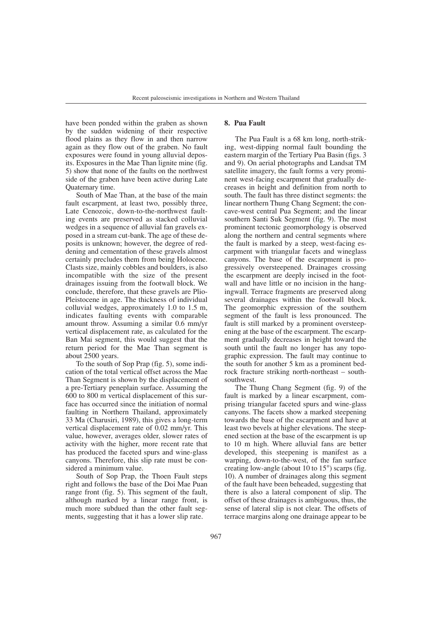have been ponded within the graben as shown by the sudden widening of their respective flood plains as they flow in and then narrow again as they flow out of the graben. No fault exposures were found in young alluvial deposits. Exposures in the Mae Than lignite mine (fig. 5) show that none of the faults on the northwest side of the graben have been active during Late Quaternary time.

South of Mae Than, at the base of the main fault escarpment, at least two, possibly three, Late Cenozoic, down-to-the-northwest faulting events are preserved as stacked colluvial wedges in a sequence of alluvial fan gravels exposed in a stream cut-bank. The age of these deposits is unknown; however, the degree of reddening and cementation of these gravels almost certainly precludes them from being Holocene. Clasts size, mainly cobbles and boulders, is also incompatible with the size of the present drainages issuing from the footwall block. We conclude, therefore, that these gravels are Plio-Pleistocene in age. The thickness of individual colluvial wedges, approximately 1.0 to 1.5 m, indicates faulting events with comparable amount throw. Assuming a similar 0.6 mm/yr vertical displacement rate, as calculated for the Ban Mai segment, this would suggest that the return period for the Mae Than segment is about 2500 years.

To the south of Sop Prap (fig. 5), some indication of the total vertical offset across the Mae Than Segment is shown by the displacement of a pre-Tertiary peneplain surface. Assuming the 600 to 800 m vertical displacement of this surface has occurred since the initiation of normal faulting in Northern Thailand, approximately 33 Ma (Charusiri, 1989), this gives a long-term vertical displacement rate of 0.02 mm/yr. This value, however, averages older, slower rates of activity with the higher, more recent rate that has produced the faceted spurs and wine-glass canyons. Therefore, this slip rate must be considered a minimum value.

South of Sop Prap, the Thoen Fault steps right and follows the base of the Doi Mae Puan range front (fig. 5). This segment of the fault, although marked by a linear range front, is much more subdued than the other fault segments, suggesting that it has a lower slip rate.

# **8. Pua Fault**

The Pua Fault is a 68 km long, north-striking, west-dipping normal fault bounding the eastern margin of the Tertiary Pua Basin (figs. 3 and 9). On aerial photographs and Landsat TM satellite imagery, the fault forms a very prominent west-facing escarpment that gradually decreases in height and definition from north to south. The fault has three distinct segments: the linear northern Thung Chang Segment; the concave-west central Pua Segment; and the linear southern Santi Suk Segment (fig. 9). The most prominent tectonic geomorphology is observed along the northern and central segments where the fault is marked by a steep, west-facing escarpment with triangular facets and wineglass canyons. The base of the escarpment is progressively oversteepened. Drainages crossing the escarpment are deeply incised in the footwall and have little or no incision in the hangingwall. Terrace fragments are preserved along several drainages within the footwall block. The geomorphic expression of the southern segment of the fault is less pronounced. The fault is still marked by a prominent oversteepening at the base of the escarpment. The escarpment gradually decreases in height toward the south until the fault no longer has any topographic expression. The fault may continue to the south for another 5 km as a prominent bedrock fracture striking north-northeast – southsouthwest.

The Thung Chang Segment (fig. 9) of the fault is marked by a linear escarpment, comprising triangular faceted spurs and wine-glass canyons. The facets show a marked steepening towards the base of the escarpment and have at least two bevels at higher elevations. The steepened section at the base of the escarpment is up to 10 m high. Where alluvial fans are better developed, this steepening is manifest as a warping, down-to-the-west, of the fan surface creating low-angle (about 10 to 15°) scarps (fig. 10). A number of drainages along this segment of the fault have been beheaded, suggesting that there is also a lateral component of slip. The offset of these drainages is ambiguous, thus, the sense of lateral slip is not clear. The offsets of terrace margins along one drainage appear to be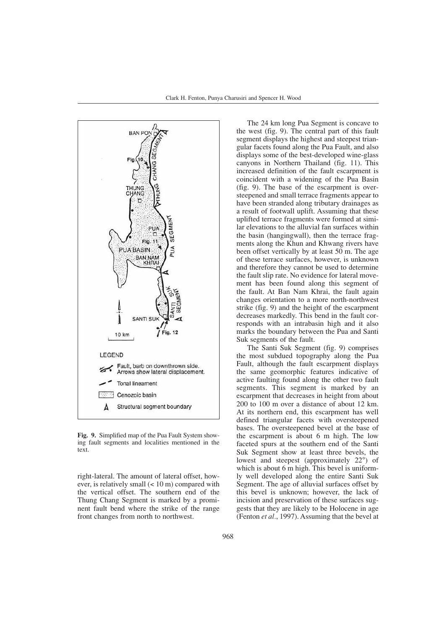

**Fig. 9.** Simplified map of the Pua Fault System showing fault segments and localities mentioned in the text.

right-lateral. The amount of lateral offset, however, is relatively small (< 10 m) compared with the vertical offset. The southern end of the Thung Chang Segment is marked by a prominent fault bend where the strike of the range front changes from north to northwest.

The 24 km long Pua Segment is concave to the west (fig. 9). The central part of this fault segment displays the highest and steepest triangular facets found along the Pua Fault, and also displays some of the best-developed wine-glass canyons in Northern Thailand (fig. 11). This increased definition of the fault escarpment is coincident with a widening of the Pua Basin (fig. 9). The base of the escarpment is oversteepened and small terrace fragments appear to have been stranded along tributary drainages as a result of footwall uplift. Assuming that these uplifted terrace fragments were formed at similar elevations to the alluvial fan surfaces within the basin (hangingwall), then the terrace fragments along the Khun and Khwang rivers have been offset vertically by at least 50 m. The age of these terrace surfaces, however, is unknown and therefore they cannot be used to determine the fault slip rate. No evidence for lateral movement has been found along this segment of the fault. At Ban Nam Khrai, the fault again changes orientation to a more north-northwest strike (fig. 9) and the height of the escarpment decreases markedly. This bend in the fault corresponds with an intrabasin high and it also marks the boundary between the Pua and Santi Suk segments of the fault.

The Santi Suk Segment (fig. 9) comprises the most subdued topography along the Pua Fault, although the fault escarpment displays the same geomorphic features indicative of active faulting found along the other two fault segments. This segment is marked by an escarpment that decreases in height from about 200 to 100 m over a distance of about 12 km. At its northern end, this escarpment has well defined triangular facets with oversteepened bases. The oversteepened bevel at the base of the escarpment is about 6 m high. The low faceted spurs at the southern end of the Santi Suk Segment show at least three bevels, the lowest and steepest (approximately 22°) of which is about 6 m high. This bevel is uniformly well developed along the entire Santi Suk Segment. The age of alluvial surfaces offset by this bevel is unknown; however, the lack of incision and preservation of these surfaces suggests that they are likely to be Holocene in age (Fenton *et al.*, 1997). Assuming that the bevel at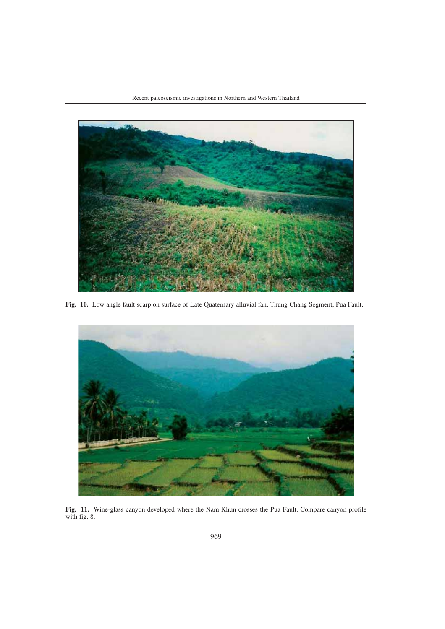

**Fig. 10.** Low angle fault scarp on surface of Late Quaternary alluvial fan, Thung Chang Segment, Pua Fault.



**Fig. 11.** Wine-glass canyon developed where the Nam Khun crosses the Pua Fault. Compare canyon profile with fig. 8.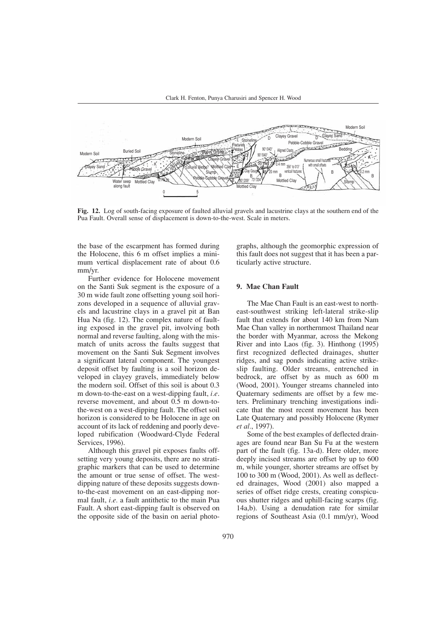

**Fig. 12.** Log of south-facing exposure of faulted alluvial gravels and lacustrine clays at the southern end of the Pua Fault. Overall sense of displacement is down-to-the-west. Scale in meters.

the base of the escarpment has formed during the Holocene, this 6 m offset implies a minimum vertical displacement rate of about 0.6 mm/yr.

Further evidence for Holocene movement on the Santi Suk segment is the exposure of a 30 m wide fault zone offsetting young soil horizons developed in a sequence of alluvial gravels and lacustrine clays in a gravel pit at Ban Hua Na (fig. 12). The complex nature of faulting exposed in the gravel pit, involving both normal and reverse faulting, along with the mismatch of units across the faults suggest that movement on the Santi Suk Segment involves a significant lateral component. The youngest deposit offset by faulting is a soil horizon developed in clayey gravels, immediately below the modern soil. Offset of this soil is about 0.3 m down-to-the-east on a west-dipping fault, *i.e*. reverse movement, and about 0.5 m down-tothe-west on a west-dipping fault. The offset soil horizon is considered to be Holocene in age on account of its lack of reddening and poorly developed rubification (Woodward-Clyde Federal Services, 1996).

Although this gravel pit exposes faults offsetting very young deposits, there are no stratigraphic markers that can be used to determine the amount or true sense of offset. The westdipping nature of these deposits suggests downto-the-east movement on an east-dipping normal fault, *i.e.* a fault antithetic to the main Pua Fault. A short east-dipping fault is observed on the opposite side of the basin on aerial photographs, although the geomorphic expression of this fault does not suggest that it has been a particularly active structure.

# **9. Mae Chan Fault**

The Mae Chan Fault is an east-west to northeast-southwest striking left-lateral strike-slip fault that extends for about 140 km from Nam Mae Chan valley in northernmost Thailand near the border with Myanmar, across the Mekong River and into Laos (fig. 3). Hinthong (1995) first recognized deflected drainages, shutter ridges, and sag ponds indicating active strikeslip faulting. Older streams, entrenched in bedrock, are offset by as much as 600 m (Wood, 2001). Younger streams channeled into Quaternary sediments are offset by a few meters. Preliminary trenching investigations indicate that the most recent movement has been Late Quaternary and possibly Holocene (Rymer *et al.*, 1997).

Some of the best examples of deflected drainages are found near Ban Su Fu at the western part of the fault (fig. 13a-d). Here older, more deeply incised streams are offset by up to 600 m, while younger, shorter streams are offset by 100 to 300 m (Wood, 2001). As well as deflected drainages, Wood (2001) also mapped a series of offset ridge crests, creating conspicuous shutter ridges and uphill-facing scarps (fig. 14a,b). Using a denudation rate for similar regions of Southeast Asia (0.1 mm/yr), Wood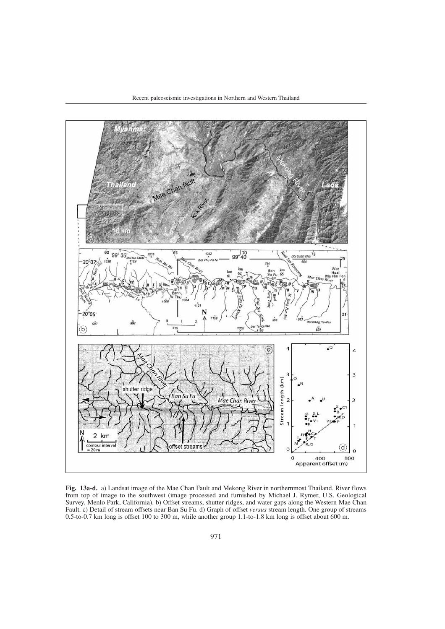

**Fig. 13a-d.** a) Landsat image of the Mae Chan Fault and Mekong River in northernmost Thailand. River flows from top of image to the southwest (image processed and furnished by Michael J. Rymer, U.S. Geological Survey, Menlo Park, California). b) Offset streams, shutter ridges, and water gaps along the Western Mae Chan Fault. c) Detail of stream offsets near Ban Su Fu. d) Graph of offset *versus* stream length. One group of streams 0.5-to-0.7 km long is offset 100 to 300 m, while another group 1.1-to-1.8 km long is offset about 600 m.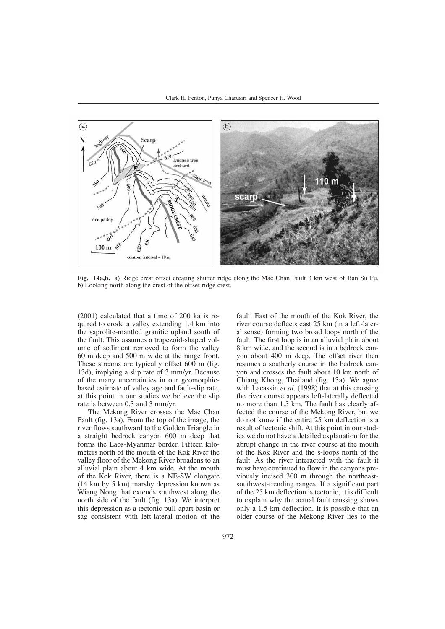

**Fig. 14a,b.** a) Ridge crest offset creating shutter ridge along the Mae Chan Fault 3 km west of Ban Su Fu. b) Looking north along the crest of the offset ridge crest.

(2001) calculated that a time of 200 ka is required to erode a valley extending 1.4 km into the saprolite-mantled granitic upland south of the fault. This assumes a trapezoid-shaped volume of sediment removed to form the valley 60 m deep and 500 m wide at the range front. These streams are typically offset 600 m (fig. 13d), implying a slip rate of 3 mm/yr. Because of the many uncertainties in our geomorphicbased estimate of valley age and fault-slip rate, at this point in our studies we believe the slip rate is between 0.3 and 3 mm/yr.

The Mekong River crosses the Mae Chan Fault (fig. 13a). From the top of the image, the river flows southward to the Golden Triangle in a straight bedrock canyon 600 m deep that forms the Laos-Myanmar border. Fifteen kilometers north of the mouth of the Kok River the valley floor of the Mekong River broadens to an alluvial plain about 4 km wide. At the mouth of the Kok River, there is a NE-SW elongate (14 km by 5 km) marshy depression known as Wiang Nong that extends southwest along the north side of the fault (fig. 13a). We interpret this depression as a tectonic pull-apart basin or sag consistent with left-lateral motion of the

fault. East of the mouth of the Kok River, the river course deflects east 25 km (in a left-lateral sense) forming two broad loops north of the fault. The first loop is in an alluvial plain about 8 km wide, and the second is in a bedrock canyon about 400 m deep. The offset river then resumes a southerly course in the bedrock canyon and crosses the fault about 10 km north of Chiang Khong, Thailand (fig. 13a). We agree with Lacassin *et al.* (1998) that at this crossing the river course appears left-laterally deflected no more than 1.5 km. The fault has clearly affected the course of the Mekong River, but we do not know if the entire 25 km deflection is a result of tectonic shift. At this point in our studies we do not have a detailed explanation for the abrupt change in the river course at the mouth of the Kok River and the s-loops north of the fault. As the river interacted with the fault it must have continued to flow in the canyons previously incised 300 m through the northeastsouthwest-trending ranges. If a significant part of the 25 km deflection is tectonic, it is difficult to explain why the actual fault crossing shows only a 1.5 km deflection. It is possible that an older course of the Mekong River lies to the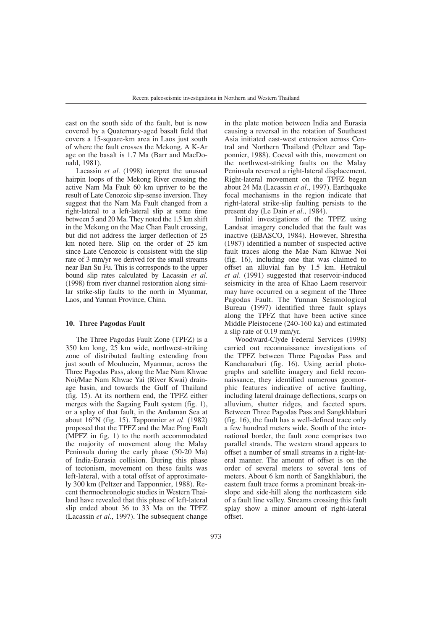east on the south side of the fault, but is now covered by a Quaternary-aged basalt field that covers a 15-square-km area in Laos just south of where the fault crosses the Mekong. A K-Ar age on the basalt is 1.7 Ma (Barr and MacDonald, 1981).

Lacassin *et al.* (1998) interpret the unusual hairpin loops of the Mekong River crossing the active Nam Ma Fault 60 km upriver to be the result of Late Cenozoic slip-sense inversion. They suggest that the Nam Ma Fault changed from a right-lateral to a left-lateral slip at some time between 5 and 20 Ma. They noted the 1.5 km shift in the Mekong on the Mae Chan Fault crossing, but did not address the larger deflection of 25 km noted here. Slip on the order of 25 km since Late Cenozoic is consistent with the slip rate of 3 mm/yr we derived for the small streams near Ban Su Fu. This is corresponds to the upper bound slip rates calculated by Lacassin *et al*. (1998) from river channel restoration along similar strike-slip faults to the north in Myanmar, Laos, and Yunnan Province, China.

# **10. Three Pagodas Fault**

The Three Pagodas Fault Zone (TPFZ) is a 350 km long, 25 km wide, northwest-striking zone of distributed faulting extending from just south of Moulmein, Myanmar, across the Three Pagodas Pass, along the Mae Nam Khwae Noi/Mae Nam Khwae Yai (River Kwai) drainage basin, and towards the Gulf of Thailand (fig. 15). At its northern end, the TPFZ either merges with the Sagaing Fault system (fig. 1), or a splay of that fault, in the Andaman Sea at about 16°N (fig. 15). Tapponnier *et al.* (1982) proposed that the TPFZ and the Mae Ping Fault (MPFZ in fig. 1) to the north accommodated the majority of movement along the Malay Peninsula during the early phase (50-20 Ma) of India-Eurasia collision. During this phase of tectonism, movement on these faults was left-lateral, with a total offset of approximately 300 km (Peltzer and Tapponnier, 1988). Recent thermochronologic studies in Western Thailand have revealed that this phase of left-lateral slip ended about 36 to 33 Ma on the TPFZ (Lacassin *et al.*, 1997). The subsequent change in the plate motion between India and Eurasia causing a reversal in the rotation of Southeast Asia initiated east-west extension across Central and Northern Thailand (Peltzer and Tapponnier, 1988). Coeval with this, movement on the northwest-striking faults on the Malay Peninsula reversed a right-lateral displacement. Right-lateral movement on the TPFZ began about 24 Ma (Lacassin *et al.*, 1997). Earthquake focal mechanisms in the region indicate that right-lateral strike-slip faulting persists to the present day (Le Dain *et al.*, 1984).

Initial investigations of the TPFZ using Landsat imagery concluded that the fault was inactive (EBASCO, 1984). However, Shrestha (1987) identified a number of suspected active fault traces along the Mae Nam Khwae Noi (fig. 16), including one that was claimed to offset an alluvial fan by 1.5 km. Hetrakul *et al.* (1991) suggested that reservoir-induced seismicity in the area of Khao Laem reservoir may have occurred on a segment of the Three Pagodas Fault. The Yunnan Seismological Bureau (1997) identified three fault splays along the TPFZ that have been active since Middle Pleistocene (240-160 ka) and estimated a slip rate of 0.19 mm/yr.

Woodward-Clyde Federal Services (1998) carried out reconnaissance investigations of the TPFZ between Three Pagodas Pass and Kanchanaburi (fig. 16). Using aerial photographs and satellite imagery and field reconnaissance, they identified numerous geomorphic features indicative of active faulting, including lateral drainage deflections, scarps on alluvium, shutter ridges, and faceted spurs. Between Three Pagodas Pass and Sangkhlaburi (fig. 16), the fault has a well-defined trace only a few hundred meters wide. South of the international border, the fault zone comprises two parallel strands. The western strand appears to offset a number of small streams in a right-lateral manner. The amount of offset is on the order of several meters to several tens of meters. About 6 km north of Sangkhlaburi, the eastern fault trace forms a prominent break-inslope and side-hill along the northeastern side of a fault line valley. Streams crossing this fault splay show a minor amount of right-lateral offset.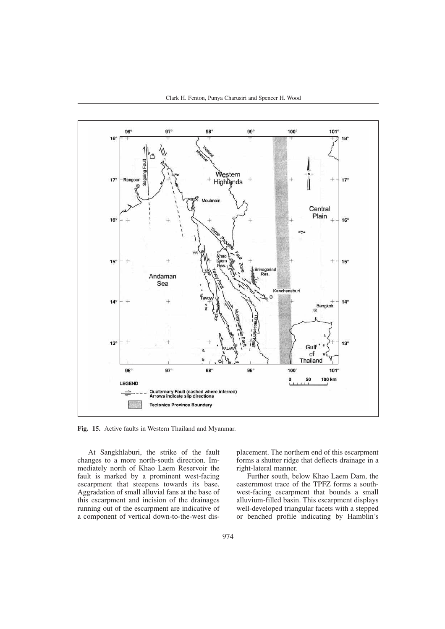

**Fig. 15.** Active faults in Western Thailand and Myanmar.

At Sangkhlaburi, the strike of the fault changes to a more north-south direction. Immediately north of Khao Laem Reservoir the fault is marked by a prominent west-facing escarpment that steepens towards its base. Aggradation of small alluvial fans at the base of this escarpment and incision of the drainages running out of the escarpment are indicative of a component of vertical down-to-the-west displacement. The northern end of this escarpment forms a shutter ridge that deflects drainage in a right-lateral manner.

Further south, below Khao Laem Dam, the easternmost trace of the TPFZ forms a southwest-facing escarpment that bounds a small alluvium-filled basin. This escarpment displays well-developed triangular facets with a stepped or benched profile indicating by Hamblin's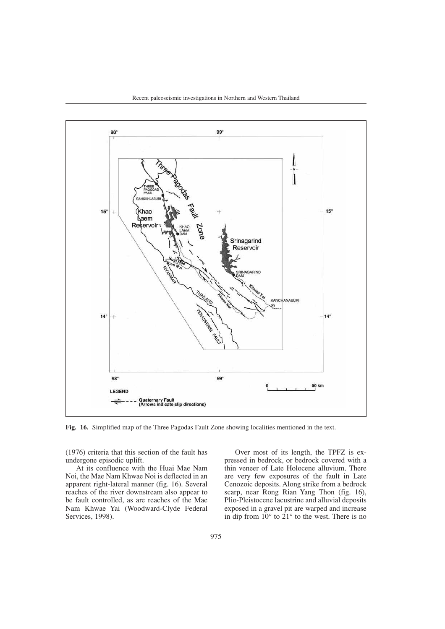



**Fig. 16.** Simplified map of the Three Pagodas Fault Zone showing localities mentioned in the text.

(1976) criteria that this section of the fault has undergone episodic uplift.

At its confluence with the Huai Mae Nam Noi, the Mae Nam Khwae Noi is deflected in an apparent right-lateral manner (fig. 16). Several reaches of the river downstream also appear to be fault controlled, as are reaches of the Mae Nam Khwae Yai (Woodward-Clyde Federal Services, 1998).

Over most of its length, the TPFZ is expressed in bedrock, or bedrock covered with a thin veneer of Late Holocene alluvium. There are very few exposures of the fault in Late Cenozoic deposits. Along strike from a bedrock scarp, near Rong Rian Yang Thon (fig. 16), Plio-Pleistocene lacustrine and alluvial deposits exposed in a gravel pit are warped and increase in dip from  $10^{\circ}$  to  $21^{\circ}$  to the west. There is no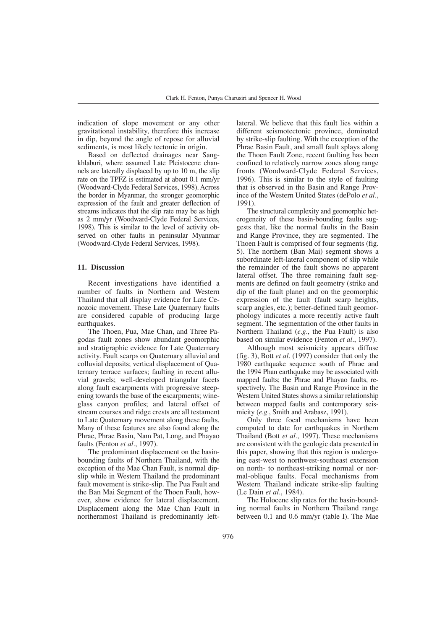indication of slope movement or any other gravitational instability, therefore this increase in dip, beyond the angle of repose for alluvial sediments, is most likely tectonic in origin.

Based on deflected drainages near Sangkhlaburi, where assumed Late Pleistocene channels are laterally displaced by up to 10 m, the slip rate on the TPFZ is estimated at about 0.1 mm/yr (Woodward-Clyde Federal Services, 1998). Across the border in Myanmar, the stronger geomorphic expression of the fault and greater deflection of streams indicates that the slip rate may be as high as 2 mm/yr (Woodward-Clyde Federal Services, 1998). This is similar to the level of activity observed on other faults in peninsular Myanmar (Woodward-Clyde Federal Services, 1998).

# **11. Discussion**

Recent investigations have identified a number of faults in Northern and Western Thailand that all display evidence for Late Cenozoic movement. These Late Quaternary faults are considered capable of producing large earthquakes.

The Thoen, Pua, Mae Chan, and Three Pagodas fault zones show abundant geomorphic and stratigraphic evidence for Late Quaternary activity. Fault scarps on Quaternary alluvial and colluvial deposits; vertical displacement of Quaternary terrace surfaces; faulting in recent alluvial gravels; well-developed triangular facets along fault escarpments with progressive steepening towards the base of the escarpments; wineglass canyon profiles; and lateral offset of stream courses and ridge crests are all testament to Late Quaternary movement along these faults. Many of these features are also found along the Phrae, Phrae Basin, Nam Pat, Long, and Phayao faults (Fenton *et al.*, 1997).

The predominant displacement on the basinbounding faults of Northern Thailand, with the exception of the Mae Chan Fault, is normal dipslip while in Western Thailand the predominant fault movement is strike-slip. The Pua Fault and the Ban Mai Segment of the Thoen Fault, however, show evidence for lateral displacement. Displacement along the Mae Chan Fault in northernmost Thailand is predominantly leftlateral. We believe that this fault lies within a different seismotectonic province, dominated by strike-slip faulting. With the exception of the Phrae Basin Fault, and small fault splays along the Thoen Fault Zone, recent faulting has been confined to relatively narrow zones along range fronts (Woodward-Clyde Federal Services, 1996). This is similar to the style of faulting that is observed in the Basin and Range Province of the Western United States (dePolo *et al.*, 1991).

The structural complexity and geomorphic heterogeneity of these basin-bounding faults suggests that, like the normal faults in the Basin and Range Province, they are segmented. The Thoen Fault is comprised of four segments (fig. 5). The northern (Ban Mai) segment shows a subordinate left-lateral component of slip while the remainder of the fault shows no apparent lateral offset. The three remaining fault segments are defined on fault geometry (strike and dip of the fault plane) and on the geomorphic expression of the fault (fault scarp heights, scarp angles, etc.); better-defined fault geomorphology indicates a more recently active fault segment. The segmentation of the other faults in Northern Thailand (*e.g.*, the Pua Fault) is also based on similar evidence (Fenton *et al.*, 1997).

Although most seismicity appears diffuse (fig. 3), Bott *et al.* (1997) consider that only the 1980 earthquake sequence south of Phrae and the 1994 Phan earthquake may be associated with mapped faults; the Phrae and Phayao faults, respectively. The Basin and Range Province in the Western United States shows a similar relationship between mapped faults and contemporary seismicity (*e.g.*, Smith and Arabasz, 1991).

Only three focal mechanisms have been computed to date for earthquakes in Northern Thailand (Bott *et al.,* 1997). These mechanisms are consistent with the geologic data presented in this paper, showing that this region is undergoing east-west to northwest-southeast extension on north- to northeast-striking normal or normal-oblique faults. Focal mechanisms from Western Thailand indicate strike-slip faulting (Le Dain *et al.*, 1984).

The Holocene slip rates for the basin-bounding normal faults in Northern Thailand range between 0.1 and 0.6 mm/yr (table I). The Mae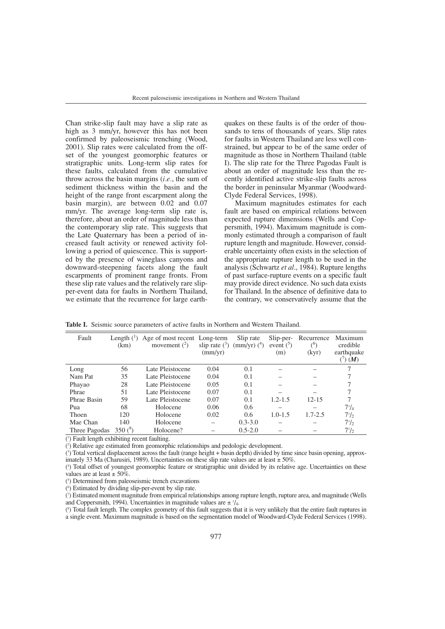Chan strike-slip fault may have a slip rate as high as 3 mm/yr, however this has not been confirmed by paleoseismic trenching (Wood, 2001). Slip rates were calculated from the offset of the youngest geomorphic features or stratigraphic units. Long-term slip rates for these faults, calculated from the cumulative throw across the basin margins (*i.e.*, the sum of sediment thickness within the basin and the height of the range front escarpment along the basin margin), are between 0.02 and 0.07 mm/yr. The average long-term slip rate is, therefore, about an order of magnitude less than the contemporary slip rate. This suggests that the Late Quaternary has been a period of increased fault activity or renewed activity following a period of quiescence. This is supported by the presence of wineglass canyons and downward-steepening facets along the fault escarpments of prominent range fronts. From these slip rate values and the relatively rare slipper-event data for faults in Northern Thailand, we estimate that the recurrence for large earthquakes on these faults is of the order of thousands to tens of thousands of years. Slip rates for faults in Western Thailand are less well constrained, but appear to be of the same order of magnitude as those in Northern Thailand (table I). The slip rate for the Three Pagodas Fault is about an order of magnitude less than the recently identified active strike-slip faults across the border in peninsular Myanmar (Woodward-Clyde Federal Services, 1998).

Maximum magnitudes estimates for each fault are based on empirical relations between expected rupture dimensions (Wells and Coppersmith, 1994). Maximum magnitude is commonly estimated through a comparison of fault rupture length and magnitude. However, considerable uncertainty often exists in the selection of the appropriate rupture length to be used in the analysis (Schwartz *et al*., 1984). Rupture lengths of past surface-rupture events on a specific fault may provide direct evidence. No such data exists for Thailand. In the absence of definitive data to the contrary, we conservatively assume that the

| Fault         | Length $(^1)$<br>(km) | Age of most recent Long-term<br>movement $(^2)$ | $\text{(mm/yr)}$ | Slip rate<br>slip rate $(^3)$ (mm/yr) $(^4)$ | Slip-per-<br>event $(3)$<br>(m) | Recurrence<br>$^{\circ}$<br>(kyr) | Maximum<br>credible<br>earthquake<br>(M) |
|---------------|-----------------------|-------------------------------------------------|------------------|----------------------------------------------|---------------------------------|-----------------------------------|------------------------------------------|
| Long          | 56                    | Late Pleistocene                                | 0.04             | 0.1                                          |                                 |                                   |                                          |
| Nam Pat       | 35                    | Late Pleistocene                                | 0.04             | 0.1                                          |                                 |                                   |                                          |
| Phayao        | 28                    | Late Pleistocene                                | 0.05             | 0.1                                          |                                 |                                   |                                          |
| Phrae         | 51                    | Late Pleistocene                                | 0.07             | 0.1                                          |                                 |                                   |                                          |
| Phrae Basin   | 59                    | Late Pleistocene                                | 0.07             | 0.1                                          | $1.2 - 1.5$                     | $12 - 15$                         | 7                                        |
| Pua           | 68                    | Holocene                                        | 0.06             | 0.6                                          |                                 |                                   | $7^{1}/_{4}$                             |
| Thoen         | 120                   | Holocene                                        | 0.02             | 0.6                                          | $1.0 - 1.5$                     | $1.7 - 2.5$                       | $7^{1}/_{2}$                             |
| Mae Chan      | 140                   | Holocene                                        |                  | $0.3 - 3.0$                                  |                                 |                                   | $7^{1}/_{2}$                             |
| Three Pagodas | 350 $(°)$             | Holocene?                                       |                  | $0.5 - 2.0$                                  |                                 |                                   | $7^{1}/_{2}$                             |

**Table I.** Seismic source parameters of active faults in Northern and Western Thailand.

( 1 ) Fault length exhibiting recent faulting.

( 2 ) Relative age estimated from geomorphic relationships and pedologic development.

( 3 ) Total vertical displacement across the fault (range height + basin depth) divided by time since basin opening, approximately 33 Ma (Charusiri, 1989). Uncertainties on these slip rate values are at least  $\pm 50\%$ .

( 4 ) Total offset of youngest geomorphic feature or stratigraphic unit divided by its relative age. Uncertainties on these values are at least  $\pm$  50%.

( 5 ) Determined from paleoseismic trench excavations

( 6 ) Estimated by dividing slip-per-event by slip rate.

( 7 ) Estimated moment magnitude from empirical relationships among rupture length, rupture area, and magnitude (Wells and Coppersmith, 1994). Uncertainties in magnitude values are  $\pm$   $\frac{1}{4}$ .

( 8 ) Total fault length. The complex geometry of this fault suggests that it is very unlikely that the entire fault ruptures in a single event. Maximum magnitude is based on the segmentation model of Woodward-Clyde Federal Services (1998).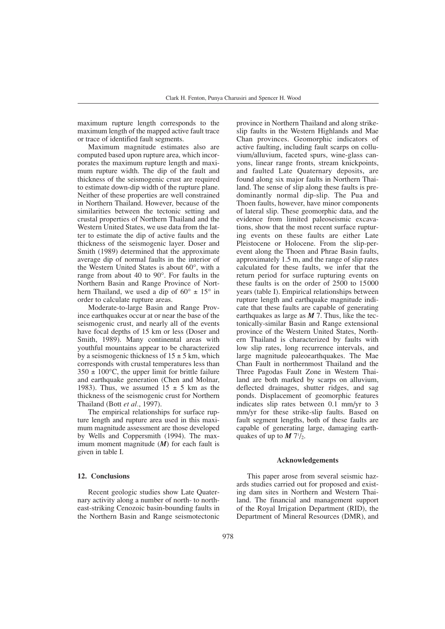maximum rupture length corresponds to the maximum length of the mapped active fault trace or trace of identified fault segments.

Maximum magnitude estimates also are computed based upon rupture area, which incorporates the maximum rupture length and maximum rupture width. The dip of the fault and thickness of the seismogenic crust are required to estimate down-dip width of the rupture plane. Neither of these properties are well constrained in Northern Thailand. However, because of the similarities between the tectonic setting and crustal properties of Northern Thailand and the Western United States, we use data from the latter to estimate the dip of active faults and the thickness of the seismogenic layer. Doser and Smith (1989) determined that the approximate average dip of normal faults in the interior of the Western United States is about 60°, with a range from about 40 to 90°. For faults in the Northern Basin and Range Province of Northern Thailand, we used a dip of  $60^{\circ} \pm 15^{\circ}$  in order to calculate rupture areas.

Moderate-to-large Basin and Range Province earthquakes occur at or near the base of the seismogenic crust, and nearly all of the events have focal depths of 15 km or less (Doser and Smith, 1989). Many continental areas with youthful mountains appear to be characterized by a seismogenic thickness of  $15 \pm 5$  km, which corresponds with crustal temperatures less than  $350 \pm 100^{\circ}$ C, the upper limit for brittle failure and earthquake generation (Chen and Molnar, 1983). Thus, we assumed  $15 \pm 5$  km as the thickness of the seismogenic crust for Northern Thailand (Bott *et al.*, 1997).

The empirical relationships for surface rupture length and rupture area used in this maximum magnitude assessment are those developed by Wells and Coppersmith (1994). The maximum moment magnitude (*M*) for each fault is given in table I.

## **12. Conclusions**

Recent geologic studies show Late Quaternary activity along a number of north- to northeast-striking Cenozoic basin-bounding faults in the Northern Basin and Range seismotectonic

province in Northern Thailand and along strikeslip faults in the Western Highlands and Mae Chan provinces. Geomorphic indicators of active faulting, including fault scarps on colluvium/alluvium, faceted spurs, wine-glass canyons, linear range fronts, stream knickpoints, and faulted Late Quaternary deposits, are found along six major faults in Northern Thailand. The sense of slip along these faults is predominantly normal dip-slip. The Pua and Thoen faults, however, have minor components of lateral slip. These geomorphic data, and the evidence from limited paleoseismic excavations, show that the most recent surface rupturing events on these faults are either Late Pleistocene or Holocene. From the slip-perevent along the Thoen and Phrae Basin faults, approximately 1.5 m, and the range of slip rates calculated for these faults, we infer that the return period for surface rupturing events on these faults is on the order of  $2500$  to  $15000$ years (table I). Empirical relationships between rupture length and earthquake magnitude indicate that these faults are capable of generating earthquakes as large as  $M$  7. Thus, like the tectonically-similar Basin and Range extensional province of the Western United States, Northern Thailand is characterized by faults with low slip rates, long recurrence intervals, and large magnitude paleoearthquakes. The Mae Chan Fault in northernmost Thailand and the Three Pagodas Fault Zone in Western Thailand are both marked by scarps on alluvium, deflected drainages, shutter ridges, and sag ponds. Displacement of geomorphic features indicates slip rates between 0.1 mm/yr to 3 mm/yr for these strike-slip faults. Based on fault segment lengths, both of these faults are capable of generating large, damaging earthquakes of up to  $M 7\frac{1}{2}$ .

## **Acknowledgements**

This paper arose from several seismic hazards studies carried out for proposed and existing dam sites in Northern and Western Thailand. The financial and management support of the Royal Irrigation Department (RID), the Department of Mineral Resources (DMR), and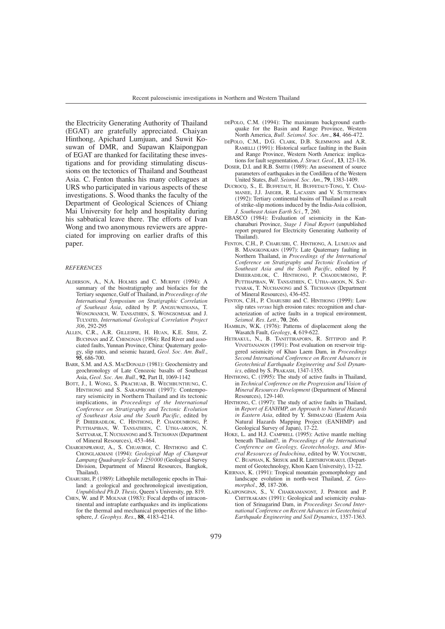the Electricity Generating Authority of Thailand (EGAT) are gratefully appreciated. Chaiyan Hinthong, Apichard Lumjuan, and Suwit Kosuwan of DMR, and Supawan Klaipongpan of EGAT are thanked for facilitating these investigations and for providing stimulating discussions on the tectonics of Thailand and Southeast Asia. C. Fenton thanks his many colleagues at URS who participated in various aspects of these investigations. S. Wood thanks the faculty of the Department of Geological Sciences of Chiang Mai University for help and hospitality during his sabbatical leave there. The efforts of Ivan Wong and two anonymous reviewers are appreciated for improving on earlier drafts of this paper.

#### *REFERENCES*

- ALDERSON, A., N.A. HOLMES and C. MURPHY (1994): A summary of the biostratigraphy and biofacies for the Tertiary sequence, Gulf of Thailand, in *Proceedings of the International Symposium on Stratigraphic Correlation of Southeast Asia*, edited by P. ANGSUWATHANA, T. WONGWANICH, W. TANSATHIEN, S. WONGSOMSAK and J. TULYATID, *International Geological Correlation Project 306*, 292-295
- ALLEN, C.R., A.R. GILLESPIE, H. HUAN, K.E. SIEH, Z. BUCHNAN and Z. CHENGNAN (1984): Red River and associated faults, Yunnan Province, China: Quaternary geology, slip rates, and seismic hazard, *Geol. Soc. Am. Bull.*, **95**, 686-700.
- BARR, S.M. and A.S. MACDONALD (1981): Geochemistry and geochronology of Late Cenozoic basalts of Southeast Asia, *Geol. Soc. Am. Bull.*, **92**, Part II, 1069-1142
- BOTT, J., I. WONG, S. PRACHUAB, B. WECHBUNTHUNG, C. HINTHONG and S. SARAPIROME (1997): Contemporary seismicity in Northern Thailand and its tectonic implications, in *Proceedings of the International Conference on Stratigraphy and Tectonic Evolution of Southeast Asia and the South Pacific*, edited by P. DHEERADILOK, C. HINTHONG, P. CHAODUMRONG, P. PUTTHAPIBAN, W. TANSATHIEN, C. UTHA-AROON, N. SATTYARAK, T. NUCHANONG and S. TECHAWAN (Department of Mineral Resources), 453-464.
- CHAROENPRAWAT, A., S. CHUAVIROJ, C. HINTHONG and C. CHONGLAKMANI (1994): *Geological Map of Changwat Lampang Quadrangle Scale 1:250*.*000* (Geological Survey Division, Department of Mineral Resources, Bangkok, Thailand).
- CHARUSIRI, P. (1989): Lithophile metallogenic epochs in Thailand: a geological and geochronological investigation, *Unpublished Ph.D. Thesis*, Queen's University, pp. 819.
- CHEN, W. and P. MOLNAR (1983): Focal depths of intracontinental and intraplate earthquakes and its implications for the thermal and mechanical properties of the lithosphere, *J. Geophys. Res*., **88**, 4183-4214.
- DEPOLO, C.M. (1994): The maximum background earthquake for the Basin and Range Province, Western North America, *Bull. Seismol. Soc. Am.*, **84**, 466-472.
- DEPOLO, C.M., D.G. CLARK, D.B. SLEMMONS and A.R. RAMELLI (1991): Historical surface faulting in the Basin and Range Province, Western North America: implications for fault segmentation, *J. Struct. Geol.*, **13**, 123-136.
- DOSER, D.I. and R.B. SMITH (1989): An assessment of source parameters of earthquakes in the Cordillera of the Western United States, *Bull. Seismol. Soc. Am.*, **79**, 1383-1409.
- DUCROCQ, S., E. BUFFETAUT, H. BUFFETAUT-TONG, Y. CHAI-MANEE, J.J. JAEGER, R. LACASSIN and V. SUTEETHORN (1992): Tertiary continental basins of Thailand as a result of strike-slip motions induced by the India-Asia collision, *J. Southeast Asian Earth Sci.*, **7**, 260.
- EBASCO (1984): Evaluation of seismicity in the Kanchanaburi Province, *Stage 1 Final Report* (unpublished report prepared for Electricity Generating Authority of Thailand).
- FENTON, C.H., P. CHARUSIRI, C. HINTHONG, A. LUMJUAN and B. MANGKONKARN (1997): Late Quaternary faulting in Northern Thailand, in *Proceedings of the International Conference on Stratigraphy and Tectonic Evolution of Southeast Asia and the South Pacific*, edited by P. DHEERADILOK, C. HINTHONG, P. CHAODUMRONG, P. PUTTHAPIBAN, W. TANSATHIEN, C. UTHA-AROON, N. SAT-TYARAK, T. NUCHANONG and S. TECHAWAN (Department of Mineral Resources), 436-452.
- FENTON, C.H., P. CHARUSIRI and C. HINTHONG (1999): Low slip rates *versus* high erosion rates: recognition and characterization of active faults in a tropical environment, *Seismol. Res. Lett.*, **70**, 266.
- HAMBLIN, W.K. (1976): Patterns of displacement along the Wasatch Fault, *Geology*, **4**, 619-622.
- HETRAKUL, N., B. TANITTIRAPORN, R. SITTIPOD and P. VIVATTANANON (1991): Post evaluation on reservoir triggered seismicity of Khao Laem Dam, in *Proceedings Second International Conference on Recent Advances in Geotechnical Earthquake Engineering and Soil Dynamics,* edited by S. PRAKASH, 1347-1355.
- HINTHONG, C. (1995): The study of active faults in Thailand, in *Technical Conference on the Progression and Vision of Mineral Resources Development* (Department of Mineral Resources), 129-140.
- HINTHONG, C. (1997): The study of active faults in Thailand, in *Report of EANHMP, an Approach to Natural Hazards in Eastern Asia*, edited by Y. SHIMAZAKI (Eastern Asia Natural Hazards Mapping Project (EANHMP) and Geological Survey of Japan), 17-22.
- HOKE, L. and H.J. CAMPBELL (1995): Active mantle melting beneath Thailand?, in *Proceedings of the International Conference on Geology, Geotechnology, and Mineral Resources of Indochina*, edited by W. YOUNGME, C. BUAPHAN, K. SRISUK and R. LERTSIRIVORAKUL (Department of Geotechnology, Khon Kaen University), 13-22.
- KIERNAN, K. (1991): Tropical mountain geomorphology and landscape evolution in north-west Thailand, *Z. Geomorphol.*, **35**, 187-206.
- KLAIPONGPAN, S., V. CHAKRAMANONT, J. PINRODE and P. CHITTRAKARN (1991): Geological and seismicity evaluation of Srinagarind Dam, in *Proceedings Second International Conference on Recent Advances in Geotechnical Earthquake Engineering and Soil Dynamics*, 1357-1363.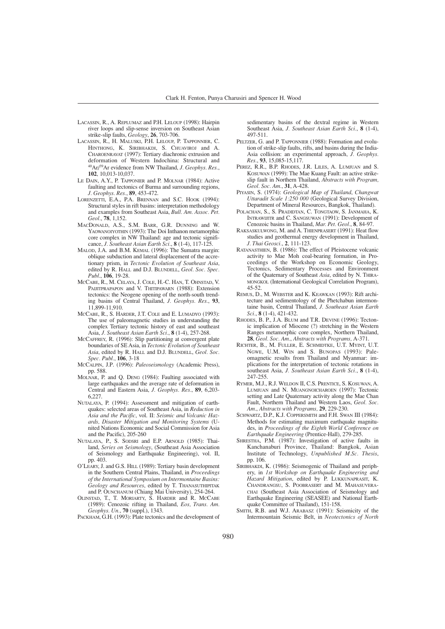- LACASSIN, R., A. REPLUMAZ and P.H. LELOUP (1998): Hairpin river loops and slip-sense inversion on Southeast Asian strike-slip faults, *Geology*, **26**, 703-706.
- LACASSIN, R., H. MALUSKI, P.H. LELOUP, P. TAPPONNIER, C. HINTHONG, K. SIRIBHAKDI, S. CHUAVIROJ and A. CHAROENRAVAT (1997): Tertiary diachronic extrusion and deformation of Western Indochina: Structural and 40Ar/39Ar evidence from NW Thailand, *J. Geophys. Res.*, **102**, 10,013-10,037.
- LE DAIN, A.Y., P. TAPPONIER and P. MOLNAR (1984): Active faulting and tectonics of Burma and surrounding regions, *J. Geophys. Res.*, **89**, 453-472.
- LORENZETTI, E.A., P.A., BRENNAN and S.C. HOOK (1994): Structural styles in rift basins: interpretation methodology and examples from Southeast Asia, *Bull. Am. Assoc. Pet. Geol.*, **78**, 1,152.
- MACDONALD, A.S., S.M. BARR, G.R. DUNNING and W. YAOWANOIYOTHIN (1993): The Doi Inthanon metamorphic core complex in NW Thailand: age and tectonic significance, *J. Southeast Asian Earth Sci.*, **8** (1-4), 117-125.
- MALOD, J.A. and B.M. KEMAL (1996): The Sumatra margin: oblique subduction and lateral displacement of the accretionary prism, in *Tectonic Evolution of Southeast Asia*, edited by R. HALL and D.J. BLUNDELL, *Geol. Soc. Spec. Publ*., **106**, 19-28.
- MCCABE, R., M. CELAYA, J. COLE, H.-C. HAN, T. OHNSTAD, V. PAIJITPRAPAPON and V. THITIPAWARN (1988): Extension tectonics: the Neogene opening of the north-south trending basins of Central Thailand, *J. Geophys. Res.*, **93**, 11,899-11,910.
- MCCABE, R., S. HARDER, J.T. COLE and E. LUMADYO (1993): The use of paleomagnetic studies in understanding the complex Tertiary tectonic history of east and southeast Asia, *J. Southeast Asian Earth Sci.*, **8** (1-4), 257-268.
- MCCAFFREY, R. (1996): Slip partitioning at convergent plate boundaries of SE Asia, in *Tectonic Evolution of Southeast Asia*, edited by R. HALL and D.J. BLUNDELL, *Geol. Soc. Spec. Publ.*, **106**, 3-18
- MCCALPIN, J.P. (1996): *Paleoseismology* (Academic Press), pp. 588.
- MOLNAR, P. and Q. DENG (1984): Faulting associated with large earthquakes and the average rate of deformation in Central and Eastern Asia, *J. Geophys. Res.*, **89**, 6,203- 6,227.
- NUTALAYA, P. (1994): Assessment and mitigation of earthquakes: selected areas of Southeast Asia, in *Reduction in Asia and the Pacific*, vol. II: *Seismic and Volcanic Hazards, Disaster Mitigation and Monitoring Systems* (United Nations Economic and Social Commission for Asia and the Pacific), 205-260
- NUTALAYA, P., S. SODSRI and E.P. ARNOLD (1985): Thailand, *Series on Seismology*, (Southeast Asia Association of Seismology and Earthquake Engineering), vol. II, pp. 403.
- O'LEARY, J. and G.S. HILL (1989): Tertiary basin development in the Southern Central Plains, Thailand, in *Proceedings of the International Symposium on Intermontaine Basins: Geology and Resources*, edited by T. THANASUTHIPITAK and P. OUNCHANUM (Chiang Mai University), 254-264.
- OLINSTAD, T., T. MORIARTY, S. HARDER and R. MCCABE (1989): Cenozoic rifting in Thailand, *Eos, Trans. Am. Geophys. Un.*, **70** (suppl.), 1343.
- PACKHAM, G.H. (1993): Plate tectonics and the development of

sedimentary basins of the dextral regime in Western Southeast Asia, *J. Southeast Asian Earth Sci.*, **8** (1-4), 497-511.

- PELTZER, G. and P. TAPPONNIER (1988): Formation and evolution of strike-slip faults, rifts, and basins during the India-Asia collision: an experimental approach, *J. Geophys. Res.*, **93**, 15,085-15,117.
- PEREZ, R.R., B.P. RHODES, J.R. LILES, A. LUMJUAN and S. KOSUWAN (1999): The Mae Kuang Fault: an active strikeslip fault in Northern Thailand, *Abstracts with Program, Geol. Soc. Am.*, **31**, A-428.
- PIYASIN, S. (1974): *Geological Map of Thailand*, *Changwat Uttaradit Scale 1:250 000* (Geological Survey Division, Department of Mineral Resources, Bangkok, Thailand).
- POLACHAN, S., S. PRADIDTAN, C. TONGTAOW, S. JANMAHA, K. INTRAWIJITR and C. SANGSUWAN (1991): Development of Cenozoic basins in Thailand, *Mar. Pet. Geol.*, **8**, 84-97.
- RAKSASKULWONG, M. and A. THIENPRASERT (1991): Heat flow studies and geothermal energy development in Thailand, *J. Thai Geosci.*, **2**, 111-123.
- RATANASTHIEN, B. (1986): The effect of Pleistocene volcanic activity to Mae Moh coal-bearing formation, in Proceedings of the Workshop on Economic Geology, Tectonics, Sedimentary Processes and Environment of the Quaternary of Southeast *Asia*, edited by N. THIRA-MONGKOL (International Geological Correlation Program), 45-52.
- REMUS, D., M. WEBSTER and K. KEAWKAN (1993): Rift architecture and sedimentology of the Phetchabun intermontaine basin, Central Thailand, *J. Southeast Asian Earth Sci.*, **8** (1-4), 421-432.
- RHODES, B. P., J.A. BLUM and T.R. DEVINE (1996): Tectonic implication of Miocene (?) stretching in the Western Ranges metamorphic core complex, Northern Thailand, **28**, *Geol. Soc. Am.*, *Abstracts with Programs,* A-371.
- RICHTER, B., M. FULLER, E. SCHMIDTKE, U.T. MYINT, U.T. NGWE, U.M. WIN and S. BUNOPAS (1993): Paleomagnetic results from Thailand and Myanmar: implications for the interpretation of tectonic rotations in southeast Asia, *J. Southeast Asian Earth Sci.*, **8** (1-4), 247-255.
- RYMER, M.J., R.J. WELDON II, C.S. PRENTICE, S. KOSUWAN, A. LUMJUAN and N. MUANGNOICHAROEN (1997): Tectonic setting and Late Quaternary activity along the Mae Chan Fault, Northern Thailand and Western Laos, *Geol. Soc. Am.*, *Abstracts with Programs,* **29**, 229-230.
- SCHWARTZ, D.P., K.J. COPPERSMITH and F.H. SWAN III (1984): Methods for estimating maximum earthquake magnitudes, in *Proceedings of the Eighth World Conference on Earthquake Engineering* (Prentice-Hall), 279-285.
- SHRESTHA, P.M. (1987): Investigation of active faults in Kanchanaburi Province, Thailand: Bangkok, Asian Institute of Technology, *Unpublished M.Sc. Thesis*, pp. 106.
- SIRIBHAKDI, K. (1986): Seismogenic of Thailand and periphery, in *1st Workshop on Earthquake Engineering and Hazard Mitigation*, edited by P. LUKKUNAPRASIT, K. CHANDRANGSU, S. POOBRASERT and M. MAHASUVERA-CHAI (Southeast Asia Association of Seismology and Earthquake Engineering (SEASEE) and National Earthquake Committee of Thailand), 151-158.
- SMITH, R.B. and W.J. ARABASZ (1991): Seismicity of the Intermountain Seismic Belt, in *Neotectonics of North*